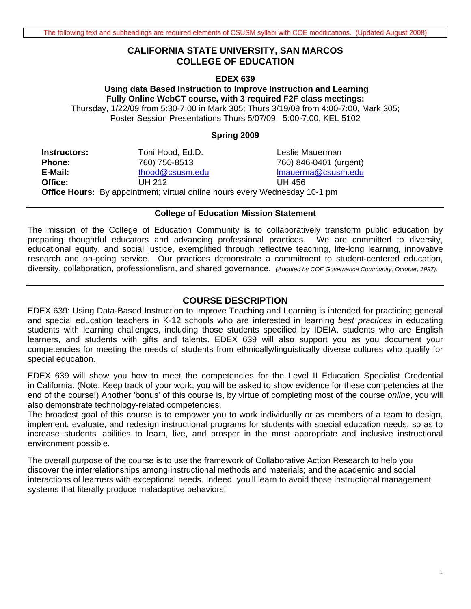### **CALIFORNIA STATE UNIVERSITY, SAN MARCOS COLLEGE OF EDUCATION**

### **EDEX 639**

**Using data Based Instruction to Improve Instruction and Learning Fully Online WebCT course, with 3 required F2F class meetings:**  Thursday, 1/22/09 from 5:30-7:00 in Mark 305; Thurs 3/19/09 from 4:00-7:00, Mark 305; Poster Session Presentations Thurs 5/07/09, 5:00-7:00, KEL 5102

### **Spring 2009**

| Instructors:  | Toni Hood, Ed.D.                                                                  | Leslie Mauerman        |
|---------------|-----------------------------------------------------------------------------------|------------------------|
| <b>Phone:</b> | 760) 750-8513                                                                     | 760) 846-0401 (urgent) |
| E-Mail:       | thood@csusm.edu                                                                   | Imauerma@csusm.edu     |
| Office:       | UH 212                                                                            | UH 456                 |
|               | <b>Office Hours:</b> By appointment; virtual online hours every Wednesday 10-1 pm |                        |

#### **College of Education Mission Statement**

The mission of the College of Education Community is to collaboratively transform public education by preparing thoughtful educators and advancing professional practices. We are committed to diversity, educational equity, and social justice, exemplified through reflective teaching, life-long learning, innovative research and on-going service. Our practices demonstrate a commitment to student-centered education, diversity, collaboration, professionalism, and shared governance. *(Adopted by COE Governance Community, October, 1997).* 

# **COURSE DESCRIPTION**

EDEX 639: Using Data-Based Instruction to Improve Teaching and Learning is intended for practicing general and special education teachers in K-12 schools who are interested in learning *best practices* in educating students with learning challenges, including those students specified by IDEIA, students who are English learners, and students with gifts and talents. EDEX 639 will also support you as you document your competencies for meeting the needs of students from ethnically/linguistically diverse cultures who qualify for special education.

EDEX 639 will show you how to meet the competencies for the Level II Education Specialist Credential in California. (Note: Keep track of your work; you will be asked to show evidence for these competencies at the end of the course!) Another 'bonus' of this course is, by virtue of completing most of the course *online*, you will also demonstrate technology-related competencies.

The broadest goal of this course is to empower you to work individually or as members of a team to design, implement, evaluate, and redesign instructional programs for students with special education needs, so as to increase students' abilities to learn, live, and prosper in the most appropriate and inclusive instructional environment possible.

The overall purpose of the course is to use the framework of Collaborative Action Research to help you discover the interrelationships among instructional methods and materials; and the academic and social interactions of learners with exceptional needs. Indeed, you'll learn to avoid those instructional management systems that literally produce maladaptive behaviors!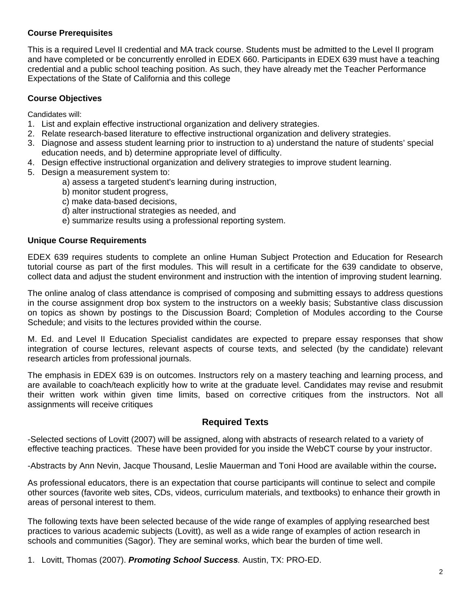### **Course Prerequisites**

This is a required Level II credential and MA track course. Students must be admitted to the Level II program and have completed or be concurrently enrolled in EDEX 660. Participants in EDEX 639 must have a teaching credential and a public school teaching position. As such, they have already met the Teacher Performance Expectations of the State of California and this college

# **Course Objectives**

Candidates will:

- 1. List and explain effective instructional organization and delivery strategies.
- 2. Relate research-based literature to effective instructional organization and delivery strategies.
- 3. Diagnose and assess student learning prior to instruction to a) understand the nature of students' special education needs, and b) determine appropriate level of difficulty.
- 4. Design effective instructional organization and delivery strategies to improve student learning.
- 5. Design a measurement system to:
	- a) assess a targeted student's learning during instruction,
	- b) monitor student progress,
	- c) make data-based decisions,
	- d) alter instructional strategies as needed, and
	- e) summarize results using a professional reporting system.

### **Unique Course Requirements**

EDEX 639 requires students to complete an online Human Subject Protection and Education for Research tutorial course as part of the first modules. This will result in a certificate for the 639 candidate to observe, collect data and adjust the student environment and instruction with the intention of improving student learning.

The online analog of class attendance is comprised of composing and submitting essays to address questions in the course assignment drop box system to the instructors on a weekly basis; Substantive class discussion on topics as shown by postings to the Discussion Board; Completion of Modules according to the Course Schedule; and visits to the lectures provided within the course.

M. Ed. and Level II Education Specialist candidates are expected to prepare essay responses that show integration of course lectures, relevant aspects of course texts, and selected (by the candidate) relevant research articles from professional journals.

The emphasis in EDEX 639 is on outcomes. Instructors rely on a mastery teaching and learning process, and are available to coach/teach explicitly how to write at the graduate level. Candidates may revise and resubmit their written work within given time limits, based on corrective critiques from the instructors. Not all assignments will receive critiques

# **Required Texts**

-Selected sections of Lovitt (2007) will be assigned, along with abstracts of research related to a variety of effective teaching practices. These have been provided for you inside the WebCT course by your instructor.

-Abstracts by Ann Nevin, Jacque Thousand, Leslie Mauerman and Toni Hood are available within the course**.** 

As professional educators, there is an expectation that course participants will continue to select and compile other sources (favorite web sites, CDs, videos, curriculum materials, and textbooks) to enhance their growth in areas of personal interest to them.

The following texts have been selected because of the wide range of examples of applying researched best practices to various academic subjects (Lovitt), as well as a wide range of examples of action research in schools and communities (Sagor). They are seminal works, which bear the burden of time well.

1. Lovitt, Thomas (2007). *Promoting School Success.* Austin, TX: PRO-ED.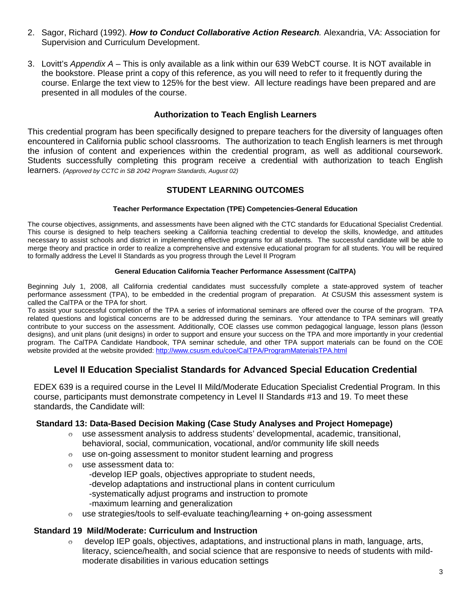- 2. Sagor, Richard (1992). *How to Conduct Collaborative Action Research.* Alexandria, VA: Association for Supervision and Curriculum Development.
- 3. Lovitt's *Appendix A* This is only available as a link within our 639 WebCT course. It is NOT available in the bookstore. Please print a copy of this reference, as you will need to refer to it frequently during the course. Enlarge the text view to 125% for the best view. All lecture readings have been prepared and are presented in all modules of the course.

#### **Authorization to Teach English Learners**

This credential program has been specifically designed to prepare teachers for the diversity of languages often encountered in California public school classrooms. The authorization to teach English learners is met through the infusion of content and experiences within the credential program, as well as additional coursework. Students successfully completing this program receive a credential with authorization to teach English learners. *(Approved by CCTC in SB 2042 Program Standards, August 02)* 

### **STUDENT LEARNING OUTCOMES**

#### **Teacher Performance Expectation (TPE) Competencies-General Education**

The course objectives, assignments, and assessments have been aligned with the CTC standards for Educational Specialist Credential. This course is designed to help teachers seeking a California teaching credential to develop the skills, knowledge, and attitudes necessary to assist schools and district in implementing effective programs for all students. The successful candidate will be able to merge theory and practice in order to realize a comprehensive and extensive educational program for all students. You will be required to formally address the Level II Standards as you progress through the Level II Program

#### **General Education California Teacher Performance Assessment (CalTPA)**

Beginning July 1, 2008, all California credential candidates must successfully complete a state-approved system of teacher performance assessment (TPA), to be embedded in the credential program of preparation. At CSUSM this assessment system is called the CalTPA or the TPA for short.

website provided at the website provided: http://www.csusm.edu/coe/CalTPA/ProgramMaterialsTPA.html To assist your successful completion of the TPA a series of informational seminars are offered over the course of the program. TPA related questions and logistical concerns are to be addressed during the seminars. Your attendance to TPA seminars will greatly contribute to your success on the assessment. Additionally, COE classes use common pedagogical language, lesson plans (lesson designs), and unit plans (unit designs) in order to support and ensure your success on the TPA and more importantly in your credential program. The CalTPA Candidate Handbook, TPA seminar schedule, and other TPA support materials can be found on the COE

# **Level II Education Specialist Standards for Advanced Special Education Credential**

EDEX 639 is a required course in the Level II Mild/Moderate Education Specialist Credential Program. In this course, participants must demonstrate competency in Level II Standards #13 and 19. To meet these standards, the Candidate will:

### **Standard 13: Data-Based Decision Making (Case Study Analyses and Project Homepage)**

- $\circ$  use assessment analysis to address students' developmental, academic, transitional, behavioral, social, communication, vocational, and/or community life skill needs
- $\circ$  use on-going assessment to monitor student learning and progress
- $\circ$  use assessment data to: -develop IEP goals, objectives appropriate to student needs, -develop adaptations and instructional plans in content curriculum -systematically adjust programs and instruction to promote -maximum learning and generalization
- $\circ$  use strategies/tools to self-evaluate teaching/learning + on-going assessment

### **Standard 19 Mild/Moderate: Curriculum and Instruction**

o develop IEP goals, objectives, adaptations, and instructional plans in math, language, arts, literacy, science/health, and social science that are responsive to needs of students with mildmoderate disabilities in various education settings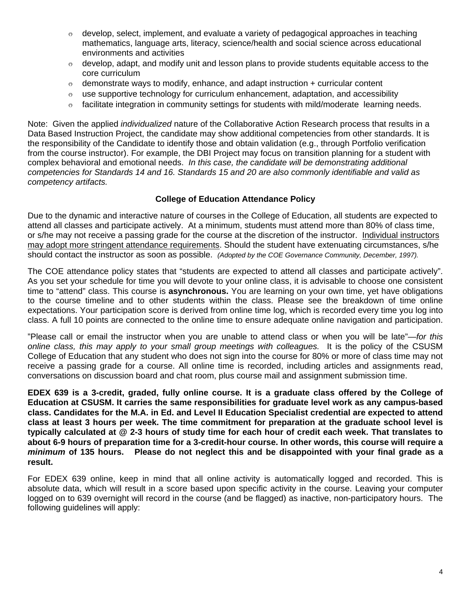- $\circ$  develop, select, implement, and evaluate a variety of pedagogical approaches in teaching mathematics, language arts, literacy, science/health and social science across educational environments and activities
- core curriculum  $\circ$  develop, adapt, and modify unit and lesson plans to provide students equitable access to the
- $\circ$  demonstrate ways to modify, enhance, and adapt instruction + curricular content
- $\circ$  use supportive technology for curriculum enhancement, adaptation, and accessibility
- $\circ$  facilitate integration in community settings for students with mild/moderate learning needs.

Note: Given the applied *individualized* nature of the Collaborative Action Research process that results in a Data Based Instruction Project, the candidate may show additional competencies from other standards. It is the responsibility of the Candidate to identify those and obtain validation (e.g., through Portfolio verification from the course instructor). For example, the DBI Project may focus on transition planning for a student with complex behavioral and emotional needs. *In this case, the candidate will be demonstrating additional competencies for Standards 14 and 16. Standards 15 and 20 are also commonly identifiable and valid as competency artifacts.* 

### **College of Education Attendance Policy**

 should contact the instructor as soon as possible. *(Adopted by the COE Governance Community, December, 1997).* Due to the dynamic and interactive nature of courses in the College of Education, all students are expected to attend all classes and participate actively. At a minimum, students must attend more than 80% of class time, or s/he may not receive a passing grade for the course at the discretion of the instructor. Individual instructors may adopt more stringent attendance requirements. Should the student have extenuating circumstances, s/he

The COE attendance policy states that "students are expected to attend all classes and participate actively". As you set your schedule for time you will devote to your online class, it is advisable to choose one consistent time to "attend" class. This course is **asynchronous.** You are learning on your own time, yet have obligations to the course timeline and to other students within the class. Please see the breakdown of time online expectations. Your participation score is derived from online time log, which is recorded every time you log into class. A full 10 points are connected to the online time to ensure adequate online navigation and participation.

"Please call or email the instructor when you are unable to attend class or when you will be late"—*for this online class, this may apply to your small group meetings with colleagues.* It is the policy of the CSUSM College of Education that any student who does not sign into the course for 80% or more of class time may not receive a passing grade for a course. All online time is recorded, including articles and assignments read, conversations on discussion board and chat room, plus course mail and assignment submission time.

**EDEX 639 is a 3-credit, graded, fully online course. It is a graduate class offered by the College of Education at CSUSM. It carries the same responsibilities for graduate level work as any campus-based class. Candidates for the M.A. in Ed. and Level II Education Specialist credential are expected to attend class at least 3 hours per week. The time commitment for preparation at the graduate school level is typically calculated at @ 2-3 hours of study time for each hour of credit each week. That translates to about 6-9 hours of preparation time for a 3-credit-hour course. In other words, this course will require a**  *minimum* **of 135 hours. Please do not neglect this and be disappointed with your final grade as a result.** 

For EDEX 639 online, keep in mind that all online activity is automatically logged and recorded. This is absolute data, which will result in a score based upon specific activity in the course. Leaving your computer logged on to 639 overnight will record in the course (and be flagged) as inactive, non-participatory hours. The following guidelines will apply: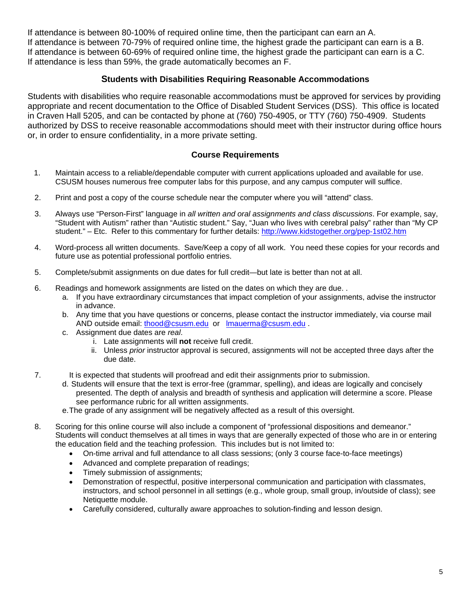If attendance is between 80-100% of required online time, then the participant can earn an A. If attendance is between 70-79% of required online time, the highest grade the participant can earn is a B. If attendance is between 60-69% of required online time, the highest grade the participant can earn is a C. If attendance is less than 59%, the grade automatically becomes an F.

### **Students with Disabilities Requiring Reasonable Accommodations**

Students with disabilities who require reasonable accommodations must be approved for services by providing appropriate and recent documentation to the Office of Disabled Student Services (DSS). This office is located in Craven Hall 5205, and can be contacted by phone at (760) 750-4905, or TTY (760) 750-4909. Students authorized by DSS to receive reasonable accommodations should meet with their instructor during office hours or, in order to ensure confidentiality, in a more private setting.

### **Course Requirements**

- 1. Maintain access to a reliable/dependable computer with current applications uploaded and available for use. CSUSM houses numerous free computer labs for this purpose, and any campus computer will suffice.
- 2. Print and post a copy of the course schedule near the computer where you will "attend" class.
- student." Etc. Refer to this commentary for further details: http://www.kidstogether.org/pep-1st02.htm 3. Always use "Person-First" language in *all written and oral assignments and class discussions*. For example, say, "Student with Autism" rather than "Autistic student." Say, "Juan who lives with cerebral palsy" rather than "My CP
- 4. Word-process all written documents. Save/Keep a copy of all work. You need these copies for your records and future use as potential professional portfolio entries.
- 5. Complete/submit assignments on due dates for full credit—but late is better than not at all.
- 6. Readings and homework assignments are listed on the dates on which they are due. .
	- a. If you have extraordinary circumstances that impact completion of your assignments, advise the instructor in advance.
	- b. Any time that you have questions or concerns, please contact the instructor immediately, via course mail AND outside email: thood@csusm.edu or lmauerma@csusm.edu .
	- c. Assignment due dates are *real*.
		- i. Late assignments will **not** receive full credit.
		- ii. Unless *prior* instructor approval is secured, assignments will not be accepted three days after the due date.
- 7. It is expected that students will proofread and edit their assignments prior to submission.
	- d.Students will ensure that the text is error-free (grammar, spelling), and ideas are logically and concisely presented. The depth of analysis and breadth of synthesis and application will determine a score. Please see performance rubric for all written assignments.
	- e.The grade of any assignment will be negatively affected as a result of this oversight.
- 8. Scoring for this online course will also include a component of "professional dispositions and demeanor." Students will conduct themselves at all times in ways that are generally expected of those who are in or entering the education field and the teaching profession. This includes but is not limited to:
	- On-time arrival and full attendance to all class sessions; (only 3 course face-to-face meetings)
	- Advanced and complete preparation of readings;
	- Timely submission of assignments;
	- Demonstration of respectful, positive interpersonal communication and participation with classmates, instructors, and school personnel in all settings (e.g., whole group, small group, in/outside of class); see Netiquette module.
	- Carefully considered, culturally aware approaches to solution-finding and lesson design.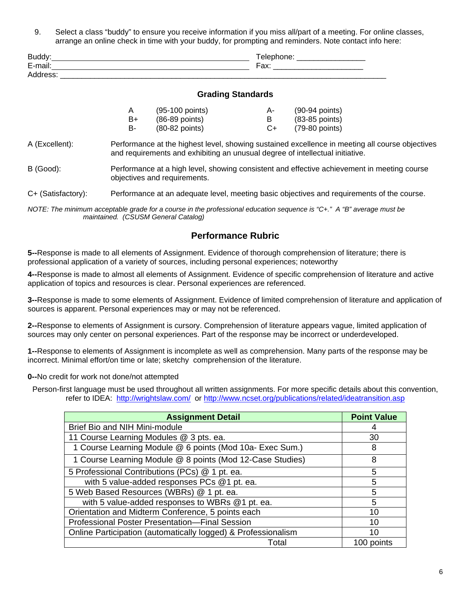9. Select a class "buddy" to ensure you receive information if you miss all/part of a meeting. For online classes, arrange an online check in time with your buddy, for prompting and reminders. Note contact info here:

| <b>Buddy</b>                      | .                                                            |
|-----------------------------------|--------------------------------------------------------------|
| $E_{m}$<br>. .<br>ь.<br>21 I<br>- | $\overline{\phantom{0}}$<br>⊢ov*<br>$\mathbf{a}$<br>________ |
| ںں                                |                                                              |

#### **Grading Standards**

| A  | $(95-100$ points) | А-   | $(90-94$ points) |
|----|-------------------|------|------------------|
| B+ | $(86-89$ points)  | в    | $(83-85$ points) |
| в- | $(80-82$ points)  | $C+$ | (79-80 points)   |

A (Excellent): Performance at the highest level, showing sustained excellence in meeting all course objectives and requirements and exhibiting an unusual degree of intellectual initiative.

B (Good): Performance at a high level, showing consistent and effective achievement in meeting course objectives and requirements.

C+ (Satisfactory): Performance at an adequate level, meeting basic objectives and requirements of the course.

*NOTE: The minimum acceptable grade for a course in the professional education sequence is "C+." A "B" average must be maintained. (CSUSM General Catalog)* 

### **Performance Rubric**

**5--**Response is made to all elements of Assignment. Evidence of thorough comprehension of literature; there is professional application of a variety of sources, including personal experiences; noteworthy

**4--**Response is made to almost all elements of Assignment. Evidence of specific comprehension of literature and active application of topics and resources is clear. Personal experiences are referenced.

**3--**Response is made to some elements of Assignment. Evidence of limited comprehension of literature and application of sources is apparent. Personal experiences may or may not be referenced.

**2--**Response to elements of Assignment is cursory. Comprehension of literature appears vague, limited application of sources may only center on personal experiences. Part of the response may be incorrect or underdeveloped.

**1--**Response to elements of Assignment is incomplete as well as comprehension. Many parts of the response may be incorrect. Minimal effort/on time or late; sketchy comprehension of the literature.

**0--**No credit for work not done/not attempted

refer to IDEA: http://wrightslaw.com/ or http://www.ncset.org/publications/related/ideatransition.asp Person-first language must be used throughout all written assignments. For more specific details about this convention,

| <b>Assignment Detail</b>                                      | <b>Point Value</b> |
|---------------------------------------------------------------|--------------------|
| Brief Bio and NIH Mini-module                                 |                    |
| 11 Course Learning Modules @ 3 pts. ea.                       | 30                 |
| 1 Course Learning Module @ 6 points (Mod 10a- Exec Sum.)      | 8                  |
| 1 Course Learning Module @ 8 points (Mod 12-Case Studies)     | 8                  |
| 5 Professional Contributions (PCs) @ 1 pt. ea.                | 5                  |
| with 5 value-added responses PCs @1 pt. ea.                   | 5                  |
| 5 Web Based Resources (WBRs) @ 1 pt. ea.                      | 5                  |
| with 5 value-added responses to WBRs @1 pt. ea.               | 5                  |
| Orientation and Midterm Conference, 5 points each             | 10                 |
| Professional Poster Presentation-Final Session                | 10                 |
| Online Participation (automatically logged) & Professionalism | 10                 |
| Total                                                         | 100 points         |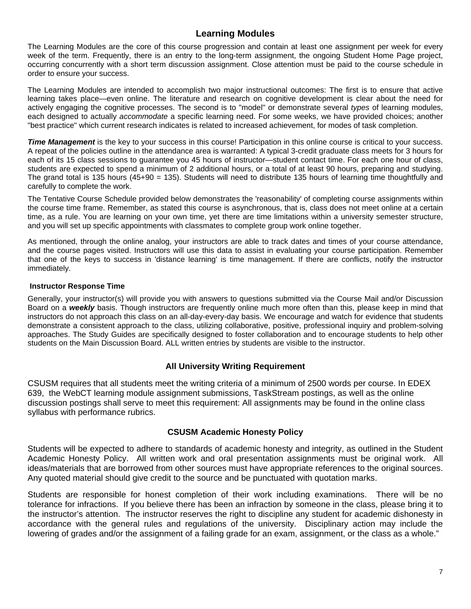# **Learning Modules**

The Learning Modules are the core of this course progression and contain at least one assignment per week for every week of the term. Frequently, there is an entry to the long-term assignment, the ongoing Student Home Page project, occurring concurrently with a short term discussion assignment. Close attention must be paid to the course schedule in order to ensure your success.

The Learning Modules are intended to accomplish two major instructional outcomes: The first is to ensure that active learning takes place—even online. The literature and research on cognitive development is clear about the need for actively engaging the cognitive processes. The second is to "model" or demonstrate several *types* of learning modules, each designed to actually *accommodate* a specific learning need. For some weeks, we have provided choices; another "best practice" which current research indicates is related to increased achievement, for modes of task completion.

*Time Management* is the key to your success in this course! Participation in this online course is critical to your success. A repeat of the policies outline in the attendance area is warranted: A typical 3-credit graduate class meets for 3 hours for each of its 15 class sessions to guarantee you 45 hours of instructor—student contact time. For each one hour of class, students are expected to spend a minimum of 2 additional hours, or a total of at least 90 hours, preparing and studying. The grand total is 135 hours (45+90 = 135). Students will need to distribute 135 hours of learning time thoughtfully and carefully to complete the work.

The Tentative Course Schedule provided below demonstrates the 'reasonability' of completing course assignments within the course time frame. Remember, as stated this course is asynchronous, that is, class does not meet online at a certain time, as a rule. You are learning on your own time, yet there are time limitations within a university semester structure, and you will set up specific appointments with classmates to complete group work online together.

As mentioned, through the online analog, your instructors are able to track dates and times of your course attendance, and the course pages visited. Instructors will use this data to assist in evaluating your course participation. Remember that one of the keys to success in 'distance learning' is time management. If there are conflicts, notify the instructor immediately.

#### **Instructor Response Time**

Generally, your instructor(s) will provide you with answers to questions submitted via the Course Mail and/or Discussion Board on a *weekly* basis. Though instructors are frequently online much more often than this, please keep in mind that instructors do not approach this class on an all-day-every-day basis. We encourage and watch for evidence that students demonstrate a consistent approach to the class, utilizing collaborative, positive, professional inquiry and problem-solving approaches. The Study Guides are specifically designed to foster collaboration and to encourage students to help other students on the Main Discussion Board. ALL written entries by students are visible to the instructor.

### **All University Writing Requirement**

CSUSM requires that all students meet the writing criteria of a minimum of 2500 words per course. In EDEX 639, the WebCT learning module assignment submissions, TaskStream postings, as well as the online discussion postings shall serve to meet this requirement: All assignments may be found in the online class syllabus with performance rubrics.

### **CSUSM Academic Honesty Policy**

Students will be expected to adhere to standards of academic honesty and integrity, as outlined in the Student Academic Honesty Policy. All written work and oral presentation assignments must be original work. All ideas/materials that are borrowed from other sources must have appropriate references to the original sources. Any quoted material should give credit to the source and be punctuated with quotation marks.

Students are responsible for honest completion of their work including examinations. There will be no tolerance for infractions. If you believe there has been an infraction by someone in the class, please bring it to the instructor's attention. The instructor reserves the right to discipline any student for academic dishonesty in accordance with the general rules and regulations of the university. Disciplinary action may include the lowering of grades and/or the assignment of a failing grade for an exam, assignment, or the class as a whole."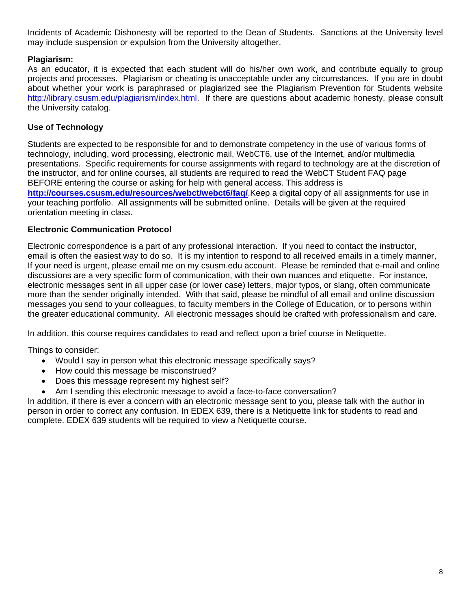Incidents of Academic Dishonesty will be reported to the Dean of Students. Sanctions at the University level may include suspension or expulsion from the University altogether.

# **Plagiarism:**

As an educator, it is expected that each student will do his/her own work, and contribute equally to group projects and processes. Plagiarism or cheating is unacceptable under any circumstances. If you are in doubt about whether your work is paraphrased or plagiarized see the Plagiarism Prevention for Students website http://library.csusm.edu/plagiarism/index.html. If there are questions about academic honesty, please consult the University catalog.

# **Use of Technology**

Students are expected to be responsible for and to demonstrate competency in the use of various forms of technology, including, word processing, electronic mail, WebCT6, use of the Internet, and/or multimedia presentations. Specific requirements for course assignments with regard to technology are at the discretion of the instructor, and for online courses, all students are required to read the WebCT Student FAQ page BEFORE entering the course or asking for help with general access. This address is **http://courses.csusm.edu/resources/webct/webct6/faq/**.Keep a digital copy of all assignments for use in your teaching portfolio. All assignments will be submitted online. Details will be given at the required orientation meeting in class.

### **Electronic Communication Protocol**

Electronic correspondence is a part of any professional interaction. If you need to contact the instructor, email is often the easiest way to do so. It is my intention to respond to all received emails in a timely manner, If your need is urgent, please email me on my csusm.edu account. Please be reminded that e-mail and online discussions are a very specific form of communication, with their own nuances and etiquette. For instance, electronic messages sent in all upper case (or lower case) letters, major typos, or slang, often communicate more than the sender originally intended. With that said, please be mindful of all email and online discussion messages you send to your colleagues, to faculty members in the College of Education, or to persons within the greater educational community. All electronic messages should be crafted with professionalism and care.

In addition, this course requires candidates to read and reflect upon a brief course in Netiquette.

Things to consider:

- Would I say in person what this electronic message specifically says?
- How could this message be misconstrued?
- Does this message represent my highest self?
- Am I sending this electronic message to avoid a face-to-face conversation?

In addition, if there is ever a concern with an electronic message sent to you, please talk with the author in person in order to correct any confusion. In EDEX 639, there is a Netiquette link for students to read and complete. EDEX 639 students will be required to view a Netiquette course.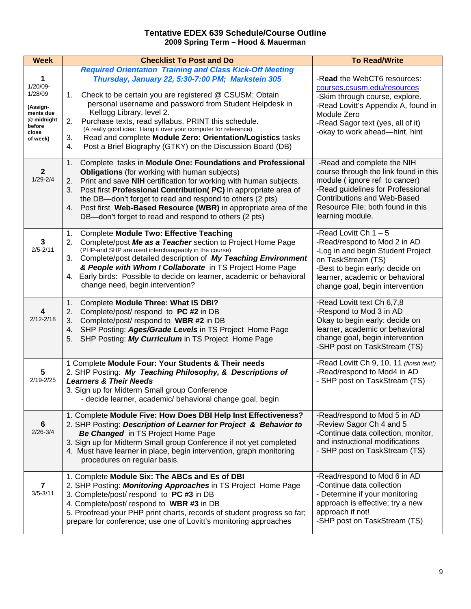### **Tentative EDEX 639 Schedule/Course Outline 2009 Spring Term – Hood & Mauerman**

| <b>Week</b>                                                                                       | <b>Checklist To Post and Do</b>                                                                                                                                                                                                                                                                                                                                                                                                                                                                                                                     | <b>To Read/Write</b>                                                                                                                                                                                                                     |
|---------------------------------------------------------------------------------------------------|-----------------------------------------------------------------------------------------------------------------------------------------------------------------------------------------------------------------------------------------------------------------------------------------------------------------------------------------------------------------------------------------------------------------------------------------------------------------------------------------------------------------------------------------------------|------------------------------------------------------------------------------------------------------------------------------------------------------------------------------------------------------------------------------------------|
| 1<br>$1/20/09 -$<br>1/28/09<br>(Assign-<br>ments due<br>@ midnight<br>before<br>close<br>of week) | <b>Required Orientation Training and Class Kick-Off Meeting</b><br>Thursday, January 22, 5:30-7:00 PM; Markstein 305<br>Check to be certain you are registered @ CSUSM; Obtain<br>1.<br>personal username and password from Student Helpdesk in<br>Kellogg Library, level 2.<br>2.<br>Purchase texts, read syllabus, PRINT this schedule.<br>(A really good idea: Hang it over your computer for reference)<br>Read and complete Module Zero: Orientation/Logistics tasks<br>3.<br>Post a Brief Biography (GTKY) on the Discussion Board (DB)<br>4. | -Read the WebCT6 resources:<br>courses.csusm.edu/resources<br>-Skim through course, explore.<br>-Read Lovitt's Appendix A, found in<br>Module Zero<br>-Read Sagor text (yes, all of it)<br>-okay to work ahead-hint, hint                |
| $\mathbf{2}$<br>$1/29 - 2/4$                                                                      | Complete tasks in Module One: Foundations and Professional<br>1.<br><b>Obligations</b> (for working with human subjects)<br>Print and save NIH certification for working with human subjects.<br>2.<br>Post first Professional Contribution(PC) in appropriate area of<br>3.<br>the DB-don't forget to read and respond to others (2 pts)<br>Post first Web-Based Resource (WBR) in appropriate area of the<br>4.<br>DB-don't forget to read and respond to others (2 pts)                                                                          | -Read and complete the NIH<br>course through the link found in this<br>module (ignore ref to cancer)<br>-Read guidelines for Professional<br><b>Contributions and Web-Based</b><br>Resource File; both found in this<br>learning module. |
| 3<br>$2/5 - 2/11$                                                                                 | <b>Complete Module Two: Effective Teaching</b><br>1.<br>Complete/post Me as a Teacher section to Project Home Page<br>2.<br>(PHP-and SHP are used interchangeably in the course)<br>3. Complete/post detailed description of My Teaching Environment<br>& People with Whom I Collaborate in TS Project Home Page<br>4. Early birds: Possible to decide on learner, academic or behavioral<br>change need, begin intervention?                                                                                                                       | -Read Lovitt Ch $1 - 5$<br>-Read/respond to Mod 2 in AD<br>-Log in and begin Student Project<br>on TaskStream (TS)<br>-Best to begin early: decide on<br>learner, academic or behavioral<br>change goal, begin intervention              |
| $\overline{\mathbf{4}}$<br>$2/12 - 2/18$                                                          | Complete Module Three: What IS DBI?<br>1.<br>2.<br>Complete/post/ respond to PC #2 in DB<br>Complete/post/ respond to WBR #2 in DB<br>3.<br>SHP Posting: Ages/Grade Levels in TS Project Home Page<br>4.<br>SHP Posting: My Curriculum in TS Project Home Page<br>5.                                                                                                                                                                                                                                                                                | -Read Lovitt text Ch 6,7,8<br>-Respond to Mod 3 in AD<br>Okay to begin early: decide on<br>learner, academic or behavioral<br>change goal, begin intervention<br>-SHP post on TaskStream (TS)                                            |
| 5<br>$2/19 - 2/25$                                                                                | 1 Complete Module Four: Your Students & Their needs<br>2. SHP Posting: My Teaching Philosophy, & Descriptions of<br><b>Learners &amp; Their Needs</b><br>3. Sign up for Midterm Small group Conference<br>decide learner, academic/ behavioral change goal, begin                                                                                                                                                                                                                                                                                   | -Read Lovitt Ch 9, 10, 11 (finish text!)<br>-Read/respond to Mod4 in AD<br>- SHP post on TaskStream (TS)                                                                                                                                 |
| 6<br>$2/26 - 3/4$                                                                                 | 1. Complete Module Five: How Does DBI Help Inst Effectiveness?<br>2. SHP Posting: Description of Learner for Project & Behavior to<br>Be Changed in TS Project Home Page<br>3. Sign up for Midterm Small group Conference if not yet completed<br>4. Must have learner in place, begin intervention, graph monitoring<br>procedures on regular basis.                                                                                                                                                                                               | -Read/respond to Mod 5 in AD<br>-Review Sagor Ch 4 and 5<br>-Continue data collection, monitor,<br>and instructional modifications<br>- SHP post on TaskStream (TS)                                                                      |
| $\overline{\mathbf{r}}$<br>$3/5 - 3/11$                                                           | 1. Complete Module Six: The ABCs and Es of DBI<br>2. SHP Posting: Monitoring Approaches in TS Project Home Page<br>3. Complete/post/ respond to PC #3 in DB<br>4. Complete/post/ respond to WBR #3 in DB<br>5. Proofread your PHP print charts, records of student progress so far;<br>prepare for conference; use one of Lovitt's monitoring approaches                                                                                                                                                                                            | -Read/respond to Mod 6 in AD<br>-Continue data collection<br>- Determine if your monitoring<br>approach is effective; try a new<br>approach if not!<br>-SHP post on TaskStream (TS)                                                      |